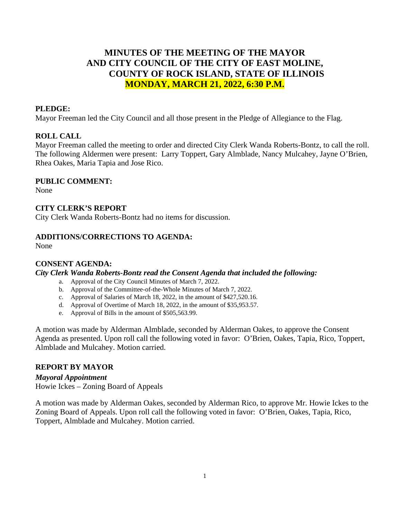# **MINUTES OF THE MEETING OF THE MAYOR AND CITY COUNCIL OF THE CITY OF EAST MOLINE, COUNTY OF ROCK ISLAND, STATE OF ILLINOIS MONDAY, MARCH 21, 2022, 6:30 P.M.**

# **PLEDGE:**

Mayor Freeman led the City Council and all those present in the Pledge of Allegiance to the Flag.

# **ROLL CALL**

Mayor Freeman called the meeting to order and directed City Clerk Wanda Roberts-Bontz, to call the roll. The following Aldermen were present: Larry Toppert, Gary Almblade, Nancy Mulcahey, Jayne O'Brien, Rhea Oakes, Maria Tapia and Jose Rico.

# **PUBLIC COMMENT:**

None

### **CITY CLERK'S REPORT**

City Clerk Wanda Roberts-Bontz had no items for discussion.

# **ADDITIONS/CORRECTIONS TO AGENDA:**

None

# **CONSENT AGENDA:**

*City Clerk Wanda Roberts-Bontz read the Consent Agenda that included the following:*

- a. Approval of the City Council Minutes of March 7, 2022.
- b. Approval of the Committee-of-the-Whole Minutes of March 7, 2022.
- c. Approval of Salaries of March 18, 2022, in the amount of \$427,520.16.
- d. Approval of Overtime of March 18, 2022, in the amount of \$35,953.57.
- e. Approval of Bills in the amount of \$505,563.99.

A motion was made by Alderman Almblade, seconded by Alderman Oakes, to approve the Consent Agenda as presented. Upon roll call the following voted in favor: O'Brien, Oakes, Tapia, Rico, Toppert, Almblade and Mulcahey. Motion carried.

# **REPORT BY MAYOR**

### *Mayoral Appointment*

Howie Ickes – Zoning Board of Appeals

A motion was made by Alderman Oakes, seconded by Alderman Rico, to approve Mr. Howie Ickes to the Zoning Board of Appeals. Upon roll call the following voted in favor: O'Brien, Oakes, Tapia, Rico, Toppert, Almblade and Mulcahey. Motion carried.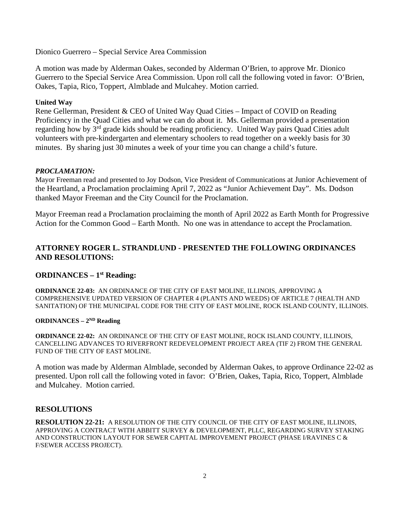Dionico Guerrero – Special Service Area Commission

A motion was made by Alderman Oakes, seconded by Alderman O'Brien, to approve Mr. Dionico Guerrero to the Special Service Area Commission. Upon roll call the following voted in favor: O'Brien, Oakes, Tapia, Rico, Toppert, Almblade and Mulcahey. Motion carried.

# **United Way**

Rene Gellerman, President & CEO of United Way Quad Cities – Impact of COVID on Reading Proficiency in the Quad Cities and what we can do about it. Ms. Gellerman provided a presentation regarding how by 3<sup>rd</sup> grade kids should be reading proficiency. United Way pairs Quad Cities adult volunteers with pre-kindergarten and elementary schoolers to read together on a weekly basis for 30 minutes. By sharing just 30 minutes a week of your time you can change a child's future.

### *PROCLAMATION:*

Mayor Freeman read and presented to Joy Dodson, Vice President of Communications at Junior Achievement of the Heartland, a Proclamation proclaiming April 7, 2022 as "Junior Achievement Day". Ms. Dodson thanked Mayor Freeman and the City Council for the Proclamation.

Mayor Freeman read a Proclamation proclaiming the month of April 2022 as Earth Month for Progressive Action for the Common Good – Earth Month. No one was in attendance to accept the Proclamation.

# **ATTORNEY ROGER L. STRANDLUND - PRESENTED THE FOLLOWING ORDINANCES AND RESOLUTIONS:**

# **ORDINANCES – 1st Reading:**

**ORDINANCE 22-03:** AN ORDINANCE OF THE CITY OF EAST MOLINE, ILLINOIS, APPROVING A COMPREHENSIVE UPDATED VERSION OF CHAPTER 4 (PLANTS AND WEEDS) OF ARTICLE 7 (HEALTH AND SANITATION) OF THE MUNICIPAL CODE FOR THE CITY OF EAST MOLINE, ROCK ISLAND COUNTY, ILLINOIS.

# **ORDINANCES – 2ND Reading**

**ORDINANCE 22-02:** AN ORDINANCE OF THE CITY OF EAST MOLINE, ROCK ISLAND COUNTY, ILLINOIS, CANCELLING ADVANCES TO RIVERFRONT REDEVELOPMENT PROJECT AREA (TIF 2) FROM THE GENERAL FUND OF THE CITY OF EAST MOLINE.

A motion was made by Alderman Almblade, seconded by Alderman Oakes, to approve Ordinance 22-02 as presented. Upon roll call the following voted in favor: O'Brien, Oakes, Tapia, Rico, Toppert, Almblade and Mulcahey. Motion carried.

#### **RESOLUTIONS**

**RESOLUTION 22-21:** A RESOLUTION OF THE CITY COUNCIL OF THE CITY OF EAST MOLINE, ILLINOIS, APPROVING A CONTRACT WITH ABBITT SURVEY & DEVELOPMENT, PLLC, REGARDING SURVEY STAKING AND CONSTRUCTION LAYOUT FOR SEWER CAPITAL IMPROVEMENT PROJECT (PHASE L/RAVINES C  $\&$ F/SEWER ACCESS PROJECT).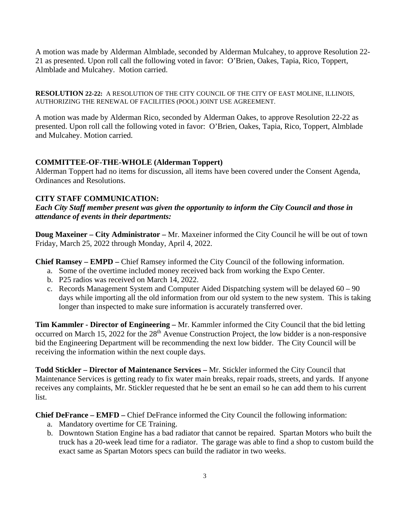A motion was made by Alderman Almblade, seconded by Alderman Mulcahey, to approve Resolution 22- 21 as presented. Upon roll call the following voted in favor: O'Brien, Oakes, Tapia, Rico, Toppert, Almblade and Mulcahey. Motion carried.

**RESOLUTION 22-22:** A RESOLUTION OF THE CITY COUNCIL OF THE CITY OF EAST MOLINE, ILLINOIS, AUTHORIZING THE RENEWAL OF FACILITIES (POOL) JOINT USE AGREEMENT.

A motion was made by Alderman Rico, seconded by Alderman Oakes, to approve Resolution 22-22 as presented. Upon roll call the following voted in favor: O'Brien, Oakes, Tapia, Rico, Toppert, Almblade and Mulcahey. Motion carried.

# **COMMITTEE-OF-THE-WHOLE (Alderman Toppert)**

Alderman Toppert had no items for discussion, all items have been covered under the Consent Agenda, Ordinances and Resolutions.

### **CITY STAFF COMMUNICATION:**

*Each City Staff member present was given the opportunity to inform the City Council and those in attendance of events in their departments:* 

**Doug Maxeiner – City Administrator –** Mr. Maxeiner informed the City Council he will be out of town Friday, March 25, 2022 through Monday, April 4, 2022.

**Chief Ramsey – EMPD –** Chief Ramsey informed the City Council of the following information.

- a. Some of the overtime included money received back from working the Expo Center.
- b. P25 radios was received on March 14, 2022.
- c. Records Management System and Computer Aided Dispatching system will be delayed 60 90 days while importing all the old information from our old system to the new system. This is taking longer than inspected to make sure information is accurately transferred over.

**Tim Kammler - Director of Engineering –** Mr. Kammler informed the City Council that the bid letting occurred on March 15, 2022 for the 28<sup>th</sup> Avenue Construction Project, the low bidder is a non-responsive bid the Engineering Department will be recommending the next low bidder. The City Council will be receiving the information within the next couple days.

**Todd Stickler – Director of Maintenance Services –** Mr. Stickler informed the City Council that Maintenance Services is getting ready to fix water main breaks, repair roads, streets, and yards. If anyone receives any complaints, Mr. Stickler requested that he be sent an email so he can add them to his current list.

**Chief DeFrance – EMFD –** Chief DeFrance informed the City Council the following information:

- a. Mandatory overtime for CE Training.
- b. Downtown Station Engine has a bad radiator that cannot be repaired. Spartan Motors who built the truck has a 20-week lead time for a radiator. The garage was able to find a shop to custom build the exact same as Spartan Motors specs can build the radiator in two weeks.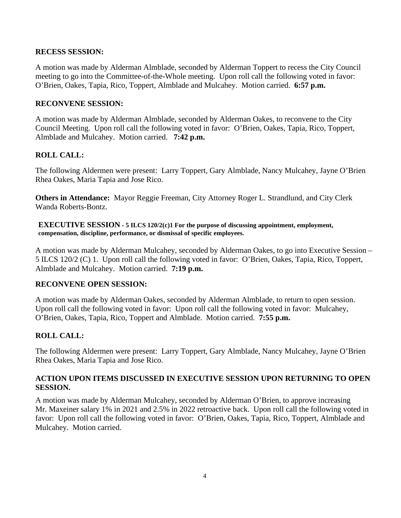# **RECESS SESSION:**

A motion was made by Alderman Almblade, seconded by Alderman Toppert to recess the City Council meeting to go into the Committee-of-the-Whole meeting. Upon roll call the following voted in favor: O'Brien, Oakes, Tapia, Rico, Toppert, Almblade and Mulcahey. Motion carried. **6:57 p.m.**

# **RECONVENE SESSION:**

A motion was made by Alderman Almblade, seconded by Alderman Oakes, to reconvene to the City Council Meeting. Upon roll call the following voted in favor: O'Brien, Oakes, Tapia, Rico, Toppert, Almblade and Mulcahey. Motion carried. **7:42 p.m.**

# **ROLL CALL:**

The following Aldermen were present: Larry Toppert, Gary Almblade, Nancy Mulcahey, Jayne O'Brien Rhea Oakes, Maria Tapia and Jose Rico.

**Others in Attendance:** Mayor Reggie Freeman, City Attorney Roger L. Strandlund, and City Clerk Wanda Roberts-Bontz.

**EXECUTIVE SESSION - 5 ILCS 120/2(c)1 For the purpose of discussing appointment, employment, compensation, discipline, performance, or dismissal of specific employees.**

A motion was made by Alderman Mulcahey, seconded by Alderman Oakes, to go into Executive Session – 5 ILCS 120/2 (C) 1. Upon roll call the following voted in favor: O'Brien, Oakes, Tapia, Rico, Toppert, Almblade and Mulcahey. Motion carried. **7:19 p.m.**

#### **RECONVENE OPEN SESSION:**

A motion was made by Alderman Oakes, seconded by Alderman Almblade, to return to open session. Upon roll call the following voted in favor: Upon roll call the following voted in favor: Mulcahey, O'Brien, Oakes, Tapia, Rico, Toppert and Almblade. Motion carried. **7:55 p.m.**

# **ROLL CALL:**

The following Aldermen were present: Larry Toppert, Gary Almblade, Nancy Mulcahey, Jayne O'Brien Rhea Oakes, Maria Tapia and Jose Rico.

# **ACTION UPON ITEMS DISCUSSED IN EXECUTIVE SESSION UPON RETURNING TO OPEN SESSION.**

A motion was made by Alderman Mulcahey, seconded by Alderman O'Brien, to approve increasing Mr. Maxeiner salary 1% in 2021 and 2.5% in 2022 retroactive back. Upon roll call the following voted in favor: Upon roll call the following voted in favor: O'Brien, Oakes, Tapia, Rico, Toppert, Almblade and Mulcahey. Motion carried.